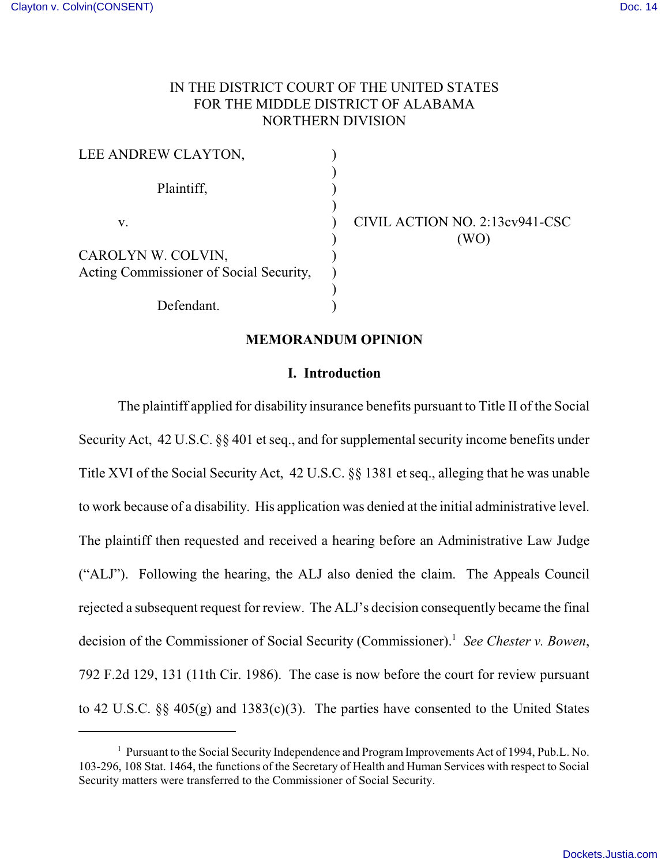# IN THE DISTRICT COURT OF THE UNITED STATES FOR THE MIDDLE DISTRICT OF ALABAMA NORTHERN DIVISION

| LEE ANDREW CLAYTON,                     |                                |
|-----------------------------------------|--------------------------------|
| Plaintiff,                              |                                |
| v.                                      | CIVIL ACTION NO. 2:13cv941-CSC |
|                                         | WO)                            |
| CAROLYN W. COLVIN,                      |                                |
| Acting Commissioner of Social Security, |                                |
|                                         |                                |
| Defendant.                              |                                |

#### **MEMORANDUM OPINION**

#### **I. Introduction**

The plaintiff applied for disability insurance benefits pursuant to Title II of the Social Security Act, 42 U.S.C. §§ 401 et seq., and for supplemental security income benefits under Title XVI of the Social Security Act, 42 U.S.C. §§ 1381 et seq., alleging that he was unable to work because of a disability. His application was denied at the initial administrative level. The plaintiff then requested and received a hearing before an Administrative Law Judge ("ALJ"). Following the hearing, the ALJ also denied the claim. The Appeals Council rejected a subsequent request for review. The ALJ's decision consequently became the final decision of the Commissioner of Social Security (Commissioner).<sup>1</sup> See Chester v. Bowen, 792 F.2d 129, 131 (11th Cir. 1986). The case is now before the court for review pursuant to 42 U.S.C. §§ 405(g) and 1383(c)(3). The parties have consented to the United States

<sup>&</sup>lt;sup>1</sup> Pursuant to the Social Security Independence and Program Improvements Act of 1994, Pub.L. No. 103-296, 108 Stat. 1464, the functions of the Secretary of Health and Human Services with respect to Social Security matters were transferred to the Commissioner of Social Security.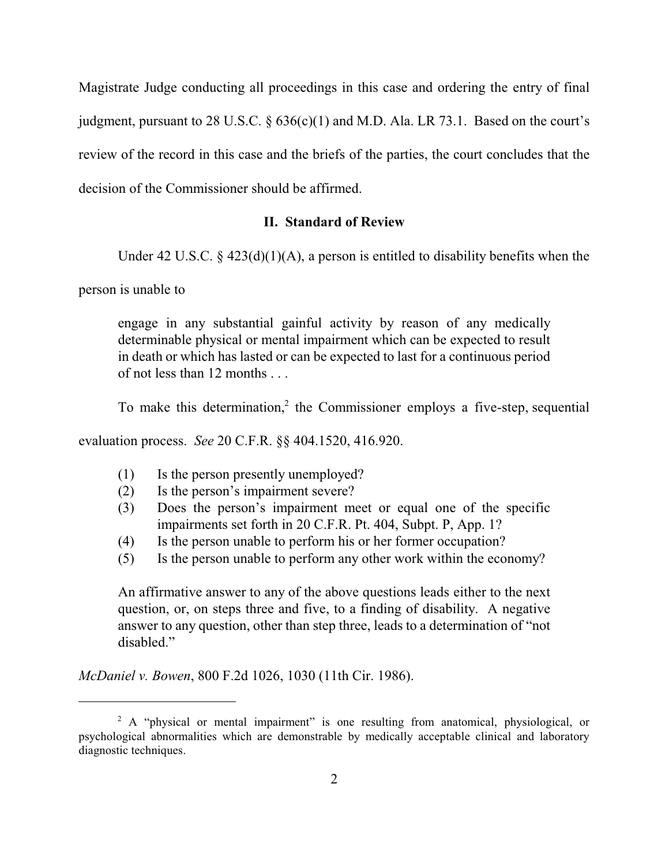Magistrate Judge conducting all proceedings in this case and ordering the entry of final judgment, pursuant to 28 U.S.C. § 636(c)(1) and M.D. Ala. LR 73.1. Based on the court's review of the record in this case and the briefs of the parties, the court concludes that the decision of the Commissioner should be affirmed.

## **II. Standard of Review**

Under 42 U.S.C.  $\S$  423(d)(1)(A), a person is entitled to disability benefits when the

person is unable to

engage in any substantial gainful activity by reason of any medically determinable physical or mental impairment which can be expected to result in death or which has lasted or can be expected to last for a continuous period of not less than 12 months . . .

To make this determination,<sup>2</sup> the Commissioner employs a five-step, sequential

evaluation process. *See* 20 C.F.R. §§ 404.1520, 416.920.

- (1) Is the person presently unemployed?
- (2) Is the person's impairment severe?
- (3) Does the person's impairment meet or equal one of the specific impairments set forth in 20 C.F.R. Pt. 404, Subpt. P, App. 1?
- (4) Is the person unable to perform his or her former occupation?
- (5) Is the person unable to perform any other work within the economy?

An affirmative answer to any of the above questions leads either to the next question, or, on steps three and five, to a finding of disability. A negative answer to any question, other than step three, leads to a determination of "not disabled."

*McDaniel v. Bowen*, 800 F.2d 1026, 1030 (11th Cir. 1986).

 $A$  "physical or mental impairment" is one resulting from anatomical, physiological, or psychological abnormalities which are demonstrable by medically acceptable clinical and laboratory diagnostic techniques.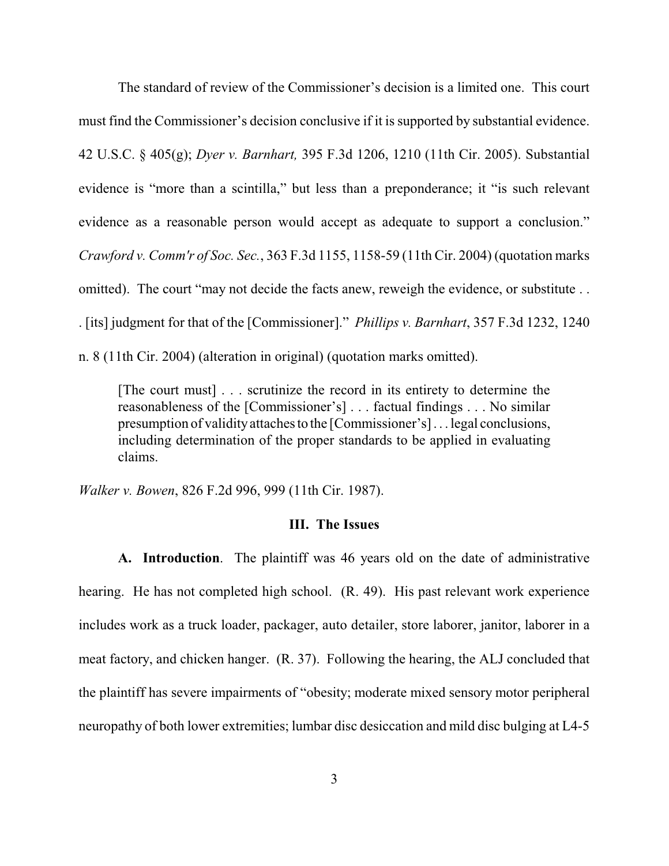The standard of review of the Commissioner's decision is a limited one. This court must find the Commissioner's decision conclusive if it is supported by substantial evidence. 42 U.S.C. § 405(g); *Dyer v. Barnhart,* 395 F.3d 1206, 1210 (11th Cir. 2005). Substantial evidence is "more than a scintilla," but less than a preponderance; it "is such relevant evidence as a reasonable person would accept as adequate to support a conclusion." *Crawford v. Comm'r of Soc. Sec.*, 363 F.3d 1155, 1158-59 (11th Cir. 2004) (quotation marks omitted). The court "may not decide the facts anew, reweigh the evidence, or substitute . . . [its] judgment for that of the [Commissioner]." *Phillips v. Barnhart*, 357 F.3d 1232, 1240 n. 8 (11th Cir. 2004) (alteration in original) (quotation marks omitted).

[The court must] . . . scrutinize the record in its entirety to determine the reasonableness of the [Commissioner's] . . . factual findings . . . No similar presumption of validityattachesto the [Commissioner's] . . . legal conclusions, including determination of the proper standards to be applied in evaluating claims.

*Walker v. Bowen*, 826 F.2d 996, 999 (11th Cir. 1987).

#### **III. The Issues**

**A. Introduction**. The plaintiff was 46 years old on the date of administrative hearing. He has not completed high school. (R. 49). His past relevant work experience includes work as a truck loader, packager, auto detailer, store laborer, janitor, laborer in a meat factory, and chicken hanger. (R. 37). Following the hearing, the ALJ concluded that the plaintiff has severe impairments of "obesity; moderate mixed sensory motor peripheral neuropathy of both lower extremities; lumbar disc desiccation and mild disc bulging at L4-5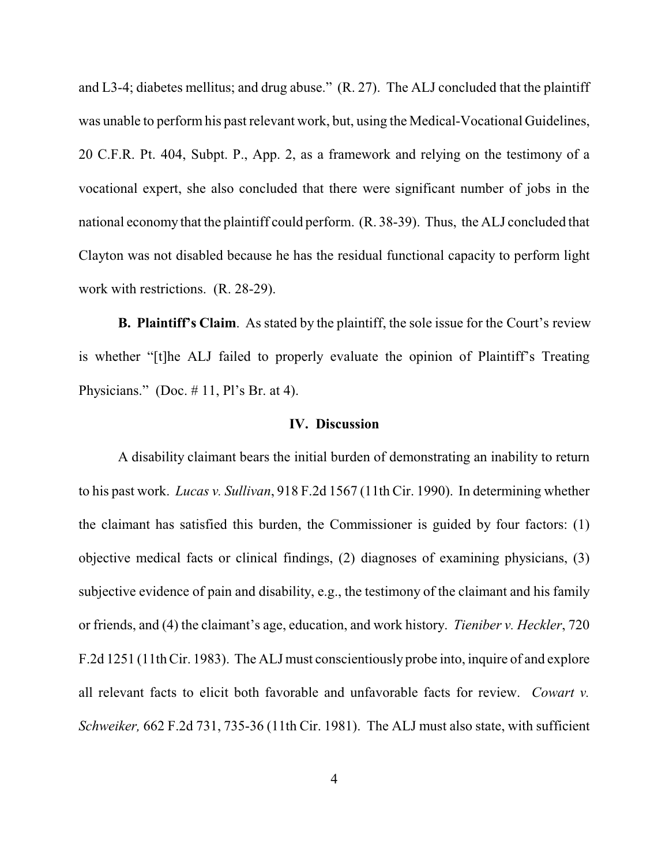and L3-4; diabetes mellitus; and drug abuse." (R. 27). The ALJ concluded that the plaintiff was unable to perform his past relevant work, but, using the Medical-Vocational Guidelines, 20 C.F.R. Pt. 404, Subpt. P., App. 2, as a framework and relying on the testimony of a vocational expert, she also concluded that there were significant number of jobs in the national economy that the plaintiff could perform. (R. 38-39). Thus, the ALJ concluded that Clayton was not disabled because he has the residual functional capacity to perform light work with restrictions. (R. 28-29).

**B. Plaintiff's Claim**. As stated by the plaintiff, the sole issue for the Court's review is whether "[t]he ALJ failed to properly evaluate the opinion of Plaintiff's Treating Physicians." (Doc.  $\#$  11, Pl's Br. at 4).

## **IV. Discussion**

A disability claimant bears the initial burden of demonstrating an inability to return to his past work. *Lucas v. Sullivan*, 918 F.2d 1567 (11th Cir. 1990). In determining whether the claimant has satisfied this burden, the Commissioner is guided by four factors: (1) objective medical facts or clinical findings, (2) diagnoses of examining physicians, (3) subjective evidence of pain and disability, e.g., the testimony of the claimant and his family or friends, and (4) the claimant's age, education, and work history. *Tieniber v. Heckler*, 720 F.2d 1251 (11th Cir. 1983). The ALJ must conscientiously probe into, inquire of and explore all relevant facts to elicit both favorable and unfavorable facts for review. *Cowart v. Schweiker,* 662 F.2d 731, 735-36 (11th Cir. 1981). The ALJ must also state, with sufficient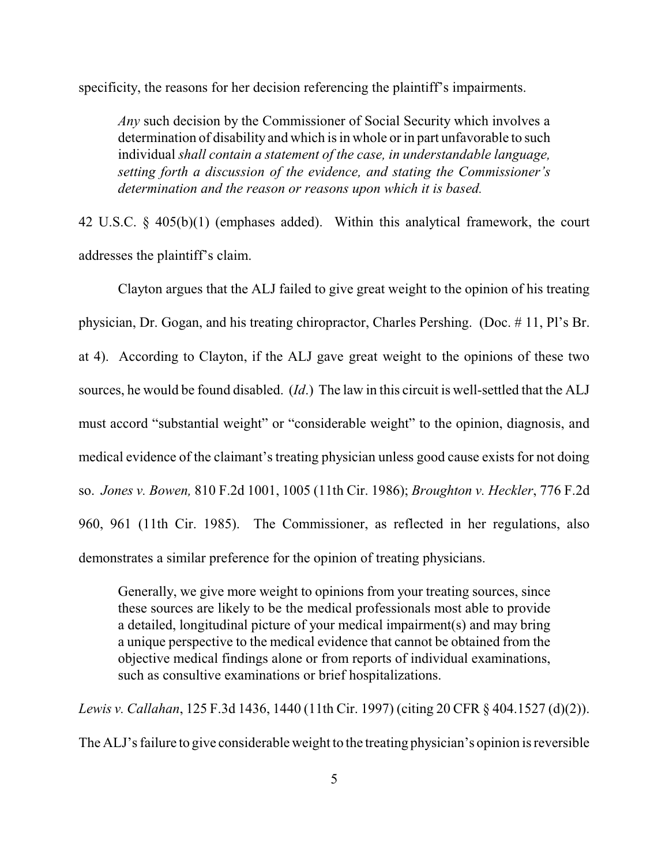specificity, the reasons for her decision referencing the plaintiff's impairments.

*Any* such decision by the Commissioner of Social Security which involves a determination of disability and which is in whole or in part unfavorable to such individual *shall contain a statement of the case, in understandable language, setting forth a discussion of the evidence, and stating the Commissioner's determination and the reason or reasons upon which it is based.*

42 U.S.C. § 405(b)(1) (emphases added). Within this analytical framework, the court addresses the plaintiff's claim.

Clayton argues that the ALJ failed to give great weight to the opinion of his treating physician, Dr. Gogan, and his treating chiropractor, Charles Pershing. (Doc. # 11, Pl's Br. at 4). According to Clayton, if the ALJ gave great weight to the opinions of these two sources, he would be found disabled. (*Id*.) The law in this circuit is well-settled that the ALJ must accord "substantial weight" or "considerable weight" to the opinion, diagnosis, and medical evidence of the claimant's treating physician unless good cause exists for not doing so. *Jones v. Bowen,* 810 F.2d 1001, 1005 (11th Cir. 1986); *Broughton v. Heckler*, 776 F.2d 960, 961 (11th Cir. 1985). The Commissioner, as reflected in her regulations, also demonstrates a similar preference for the opinion of treating physicians.

Generally, we give more weight to opinions from your treating sources, since these sources are likely to be the medical professionals most able to provide a detailed, longitudinal picture of your medical impairment(s) and may bring a unique perspective to the medical evidence that cannot be obtained from the objective medical findings alone or from reports of individual examinations, such as consultive examinations or brief hospitalizations.

*Lewis v. Callahan*, 125 F.3d 1436, 1440 (11th Cir. 1997) (citing 20 CFR § 404.1527 (d)(2)). The ALJ's failure to give considerable weight to the treating physician's opinion is reversible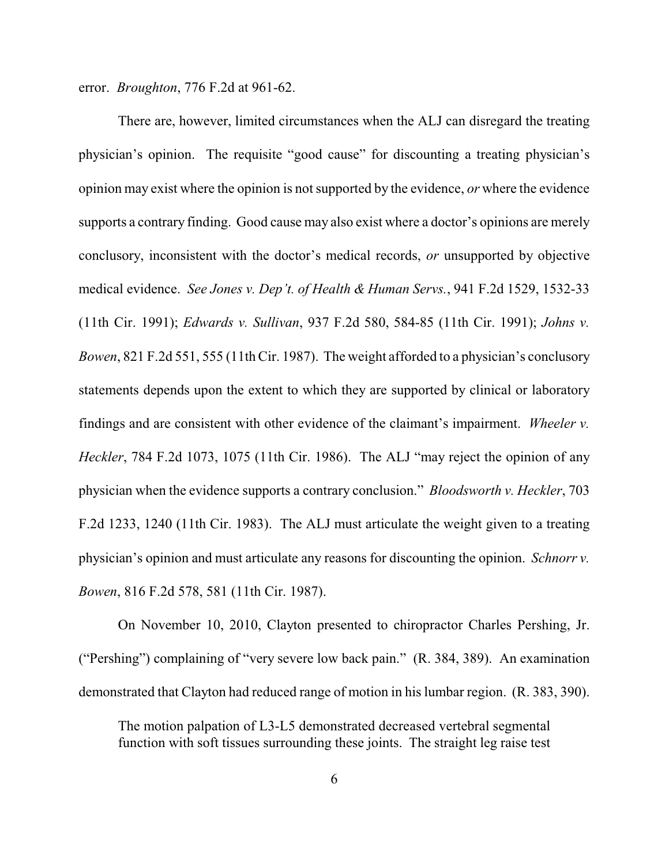error. *Broughton*, 776 F.2d at 961-62.

There are, however, limited circumstances when the ALJ can disregard the treating physician's opinion. The requisite "good cause" for discounting a treating physician's opinion may exist where the opinion is not supported by the evidence, *or* where the evidence supports a contrary finding. Good cause may also exist where a doctor's opinions are merely conclusory, inconsistent with the doctor's medical records, *or* unsupported by objective medical evidence. *See Jones v. Dep't. of Health & Human Servs.*, 941 F.2d 1529, 1532-33 (11th Cir. 1991); *Edwards v. Sullivan*, 937 F.2d 580, 584-85 (11th Cir. 1991); *Johns v. Bowen*, 821 F.2d 551, 555 (11th Cir. 1987). The weight afforded to a physician's conclusory statements depends upon the extent to which they are supported by clinical or laboratory findings and are consistent with other evidence of the claimant's impairment. *Wheeler v. Heckler*, 784 F.2d 1073, 1075 (11th Cir. 1986). The ALJ "may reject the opinion of any physician when the evidence supports a contrary conclusion." *Bloodsworth v. Heckler*, 703 F.2d 1233, 1240 (11th Cir. 1983). The ALJ must articulate the weight given to a treating physician's opinion and must articulate any reasons for discounting the opinion. *Schnorr v. Bowen*, 816 F.2d 578, 581 (11th Cir. 1987).

On November 10, 2010, Clayton presented to chiropractor Charles Pershing, Jr. ("Pershing") complaining of "very severe low back pain." (R. 384, 389). An examination demonstrated that Clayton had reduced range of motion in his lumbar region. (R. 383, 390).

 The motion palpation of L3-L5 demonstrated decreased vertebral segmental function with soft tissues surrounding these joints. The straight leg raise test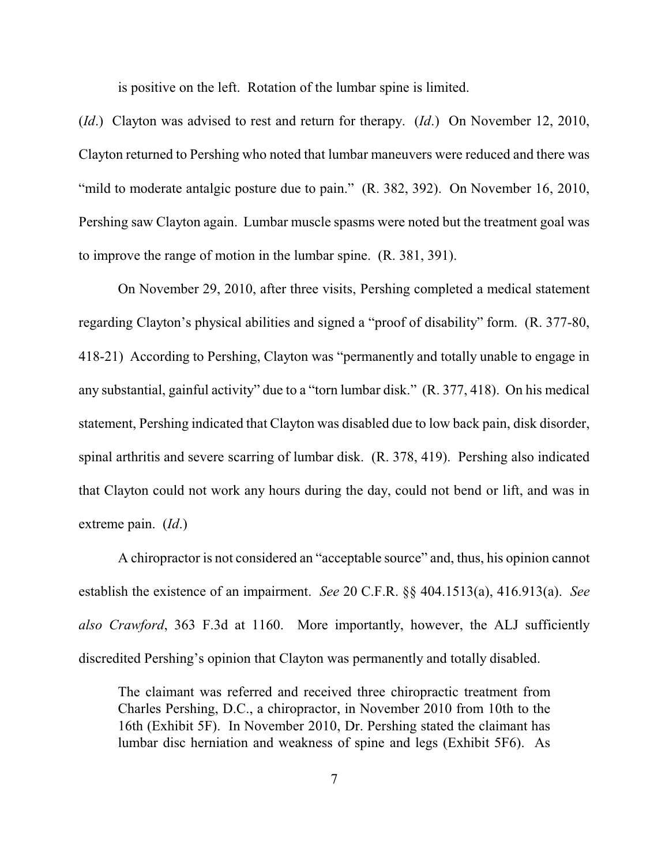is positive on the left. Rotation of the lumbar spine is limited.

(*Id*.) Clayton was advised to rest and return for therapy. (*Id*.) On November 12, 2010, Clayton returned to Pershing who noted that lumbar maneuvers were reduced and there was "mild to moderate antalgic posture due to pain." (R. 382, 392). On November 16, 2010, Pershing saw Clayton again. Lumbar muscle spasms were noted but the treatment goal was to improve the range of motion in the lumbar spine. (R. 381, 391).

On November 29, 2010, after three visits, Pershing completed a medical statement regarding Clayton's physical abilities and signed a "proof of disability" form. (R. 377-80, 418-21) According to Pershing, Clayton was "permanently and totally unable to engage in any substantial, gainful activity" due to a "torn lumbar disk." (R. 377, 418). On his medical statement, Pershing indicated that Clayton was disabled due to low back pain, disk disorder, spinal arthritis and severe scarring of lumbar disk. (R. 378, 419). Pershing also indicated that Clayton could not work any hours during the day, could not bend or lift, and was in extreme pain. (*Id*.)

A chiropractor is not considered an "acceptable source" and, thus, his opinion cannot establish the existence of an impairment. *See* 20 C.F.R. §§ 404.1513(a), 416.913(a). *See also Crawford*, 363 F.3d at 1160. More importantly, however, the ALJ sufficiently discredited Pershing's opinion that Clayton was permanently and totally disabled.

The claimant was referred and received three chiropractic treatment from Charles Pershing, D.C., a chiropractor, in November 2010 from 10th to the 16th (Exhibit 5F). In November 2010, Dr. Pershing stated the claimant has lumbar disc herniation and weakness of spine and legs (Exhibit 5F6). As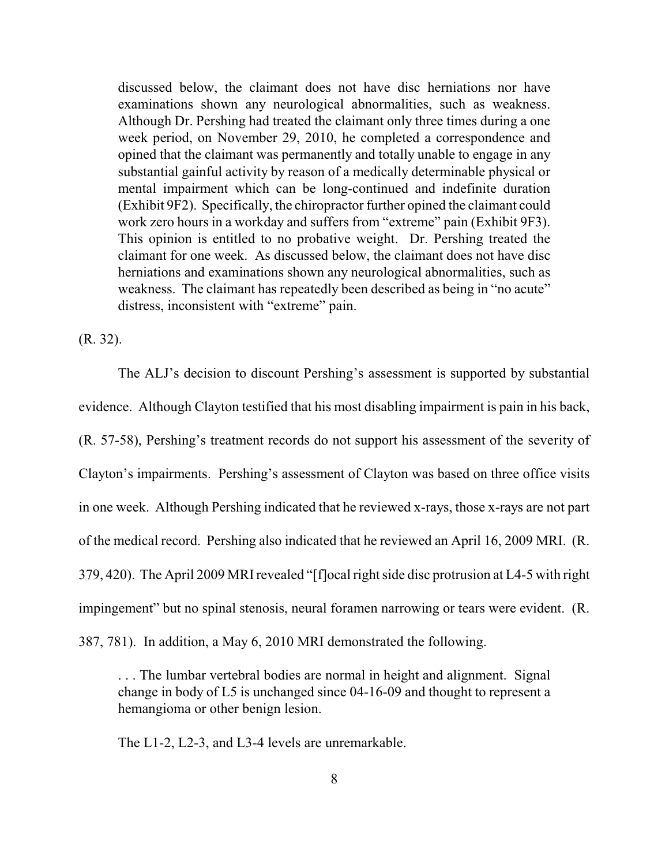discussed below, the claimant does not have disc herniations nor have examinations shown any neurological abnormalities, such as weakness. Although Dr. Pershing had treated the claimant only three times during a one week period, on November 29, 2010, he completed a correspondence and opined that the claimant was permanently and totally unable to engage in any substantial gainful activity by reason of a medically determinable physical or mental impairment which can be long-continued and indefinite duration (Exhibit 9F2). Specifically, the chiropractor further opined the claimant could work zero hours in a workday and suffers from "extreme" pain (Exhibit 9F3). This opinion is entitled to no probative weight. Dr. Pershing treated the claimant for one week. As discussed below, the claimant does not have disc herniations and examinations shown any neurological abnormalities, such as weakness. The claimant has repeatedly been described as being in "no acute" distress, inconsistent with "extreme" pain.

(R. 32).

The ALJ's decision to discount Pershing's assessment is supported by substantial evidence. Although Clayton testified that his most disabling impairment is pain in his back, (R. 57-58), Pershing's treatment records do not support his assessment of the severity of Clayton's impairments. Pershing's assessment of Clayton was based on three office visits in one week. Although Pershing indicated that he reviewed x-rays, those x-rays are not part of the medical record. Pershing also indicated that he reviewed an April 16, 2009 MRI. (R. 379, 420). The April 2009 MRI revealed "[f]ocal right side disc protrusion at L4-5 with right impingement" but no spinal stenosis, neural foramen narrowing or tears were evident. (R. 387, 781). In addition, a May 6, 2010 MRI demonstrated the following.

. . . The lumbar vertebral bodies are normal in height and alignment. Signal change in body of L5 is unchanged since 04-16-09 and thought to represent a hemangioma or other benign lesion.

The L1-2, L2-3, and L3-4 levels are unremarkable.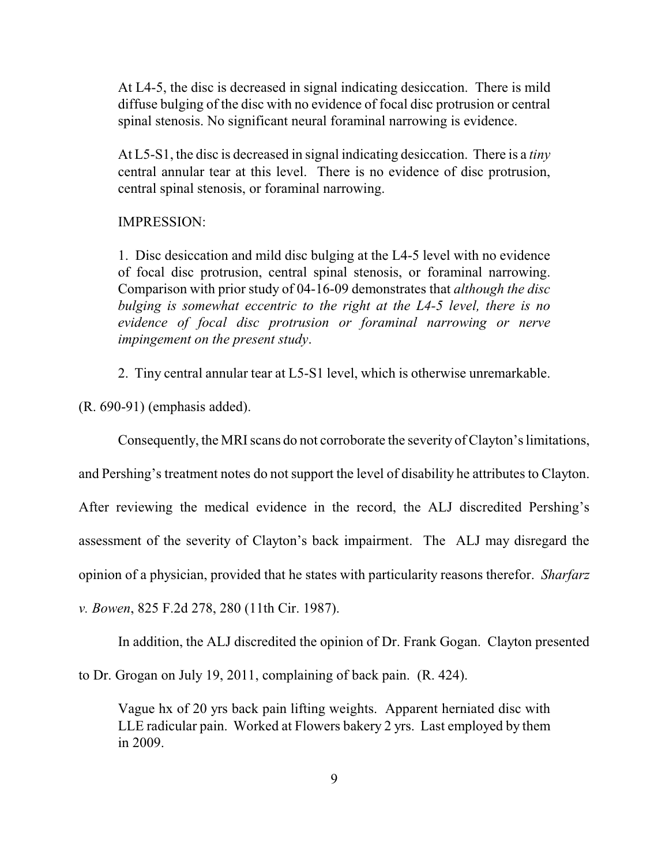At L4-5, the disc is decreased in signal indicating desiccation. There is mild diffuse bulging of the disc with no evidence of focal disc protrusion or central spinal stenosis. No significant neural foraminal narrowing is evidence.

At L5-S1, the disc is decreased in signal indicating desiccation. There is a *tiny* central annular tear at this level. There is no evidence of disc protrusion, central spinal stenosis, or foraminal narrowing.

### IMPRESSION:

1. Disc desiccation and mild disc bulging at the L4-5 level with no evidence of focal disc protrusion, central spinal stenosis, or foraminal narrowing. Comparison with prior study of 04-16-09 demonstrates that *although the disc bulging is somewhat eccentric to the right at the L4-5 level, there is no evidence of focal disc protrusion or foraminal narrowing or nerve impingement on the present study*.

2. Tiny central annular tear at L5-S1 level, which is otherwise unremarkable.

(R. 690-91) (emphasis added).

Consequently, the MRI scans do not corroborate the severity of Clayton's limitations,

and Pershing's treatment notes do not support the level of disability he attributes to Clayton.

After reviewing the medical evidence in the record, the ALJ discredited Pershing's

assessment of the severity of Clayton's back impairment. The ALJ may disregard the

opinion of a physician, provided that he states with particularity reasons therefor. *Sharfarz*

*v. Bowen*, 825 F.2d 278, 280 (11th Cir. 1987).

In addition, the ALJ discredited the opinion of Dr. Frank Gogan. Clayton presented

to Dr. Grogan on July 19, 2011, complaining of back pain. (R. 424).

Vague hx of 20 yrs back pain lifting weights. Apparent herniated disc with LLE radicular pain. Worked at Flowers bakery 2 yrs. Last employed by them in 2009.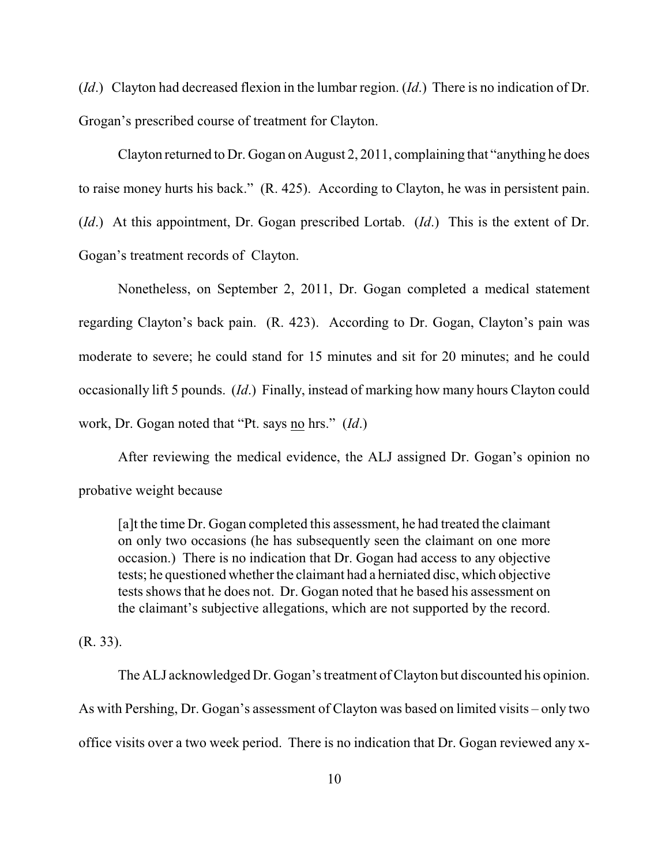(*Id*.) Clayton had decreased flexion in the lumbar region. (*Id*.) There is no indication of Dr. Grogan's prescribed course of treatment for Clayton.

Clayton returned to Dr. Gogan on August 2, 2011, complaining that "anything he does to raise money hurts his back." (R. 425). According to Clayton, he was in persistent pain. (*Id*.) At this appointment, Dr. Gogan prescribed Lortab. (*Id*.) This is the extent of Dr. Gogan's treatment records of Clayton.

Nonetheless, on September 2, 2011, Dr. Gogan completed a medical statement regarding Clayton's back pain. (R. 423). According to Dr. Gogan, Clayton's pain was moderate to severe; he could stand for 15 minutes and sit for 20 minutes; and he could occasionally lift 5 pounds. (*Id*.) Finally, instead of marking how many hours Clayton could work, Dr. Gogan noted that "Pt. says no hrs." (*Id*.)

After reviewing the medical evidence, the ALJ assigned Dr. Gogan's opinion no probative weight because

[a]t the time Dr. Gogan completed this assessment, he had treated the claimant on only two occasions (he has subsequently seen the claimant on one more occasion.) There is no indication that Dr. Gogan had access to any objective tests; he questioned whether the claimant had a herniated disc, which objective tests shows that he does not. Dr. Gogan noted that he based his assessment on the claimant's subjective allegations, which are not supported by the record.

#### (R. 33).

The ALJ acknowledged Dr. Gogan's treatment of Clayton but discounted his opinion. As with Pershing, Dr. Gogan's assessment of Clayton was based on limited visits – only two office visits over a two week period. There is no indication that Dr. Gogan reviewed any x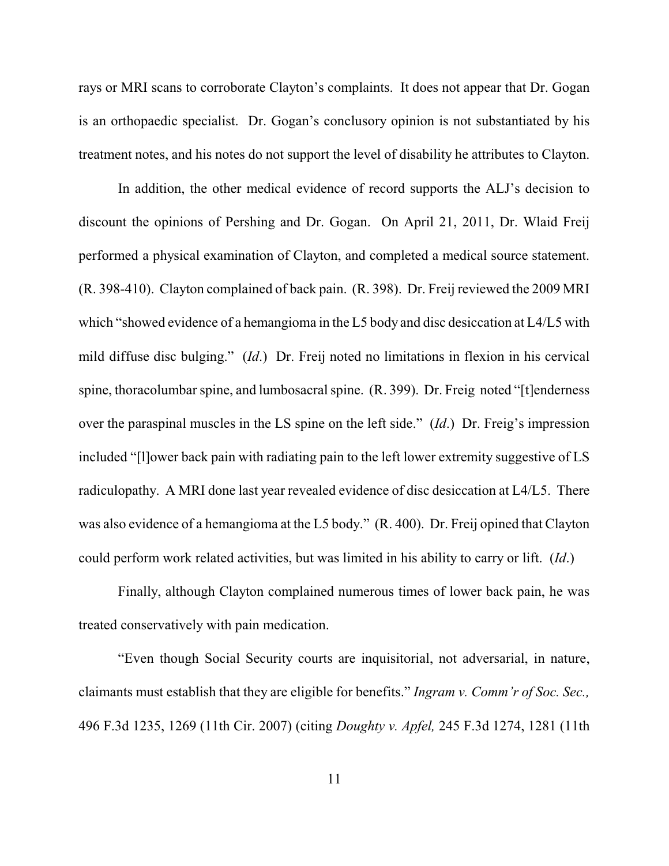rays or MRI scans to corroborate Clayton's complaints. It does not appear that Dr. Gogan is an orthopaedic specialist. Dr. Gogan's conclusory opinion is not substantiated by his treatment notes, and his notes do not support the level of disability he attributes to Clayton.

In addition, the other medical evidence of record supports the ALJ's decision to discount the opinions of Pershing and Dr. Gogan. On April 21, 2011, Dr. Wlaid Freij performed a physical examination of Clayton, and completed a medical source statement. (R. 398-410). Clayton complained of back pain. (R. 398). Dr. Freij reviewed the 2009 MRI which "showed evidence of a hemangioma in the L5 body and disc desiccation at L4/L5 with mild diffuse disc bulging." (*Id*.) Dr. Freij noted no limitations in flexion in his cervical spine, thoracolumbar spine, and lumbosacral spine. (R. 399). Dr. Freig noted "[t]enderness over the paraspinal muscles in the LS spine on the left side." (*Id*.) Dr. Freig's impression included "[l]ower back pain with radiating pain to the left lower extremity suggestive of LS radiculopathy. A MRI done last year revealed evidence of disc desiccation at L4/L5. There was also evidence of a hemangioma at the L5 body." (R. 400). Dr. Freij opined that Clayton could perform work related activities, but was limited in his ability to carry or lift. (*Id*.)

Finally, although Clayton complained numerous times of lower back pain, he was treated conservatively with pain medication.

"Even though Social Security courts are inquisitorial, not adversarial, in nature, claimants must establish that they are eligible for benefits." *Ingram v. Comm'r of Soc. Sec.,* 496 F.3d 1235, 1269 (11th Cir. 2007) (citing *Doughty v. Apfel,* 245 F.3d 1274, 1281 (11th